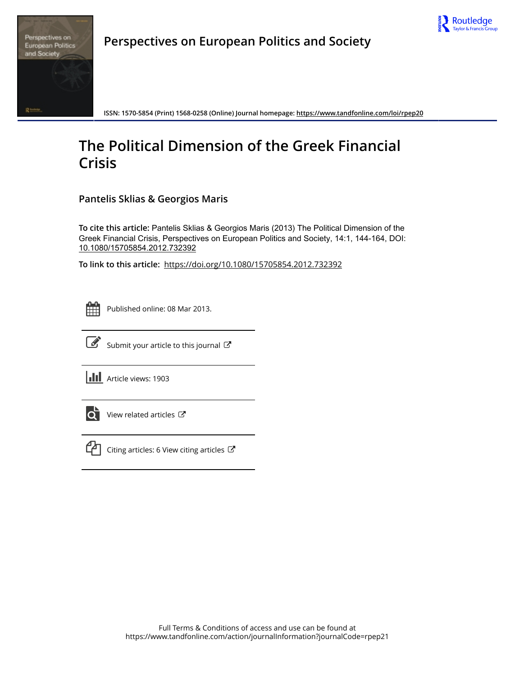

**Perspectives on European Politics and Society**

**ISSN: 1570-5854 (Print) 1568-0258 (Online) Journal homepage:<https://www.tandfonline.com/loi/rpep20>**

# **The Political Dimension of the Greek Financial Crisis**

**Pantelis Sklias & Georgios Maris**

**To cite this article:** Pantelis Sklias & Georgios Maris (2013) The Political Dimension of the Greek Financial Crisis, Perspectives on European Politics and Society, 14:1, 144-164, DOI: [10.1080/15705854.2012.732392](https://www.tandfonline.com/action/showCitFormats?doi=10.1080/15705854.2012.732392)

**To link to this article:** <https://doi.org/10.1080/15705854.2012.732392>

Perspectives on European Politics<br>and Society

Published online: 08 Mar 2013.



 $\overrightarrow{S}$  [Submit your article to this journal](https://www.tandfonline.com/action/authorSubmission?journalCode=rpep21&show=instructions)  $\overrightarrow{S}$ 

**III** Article views: 1903



 $\overrightarrow{O}$  [View related articles](https://www.tandfonline.com/doi/mlt/10.1080/15705854.2012.732392)  $\overrightarrow{C}$ 



 $\mathbb{C}$  [Citing articles: 6 View citing articles](https://www.tandfonline.com/doi/citedby/10.1080/15705854.2012.732392#tabModule)  $\mathbb{C}$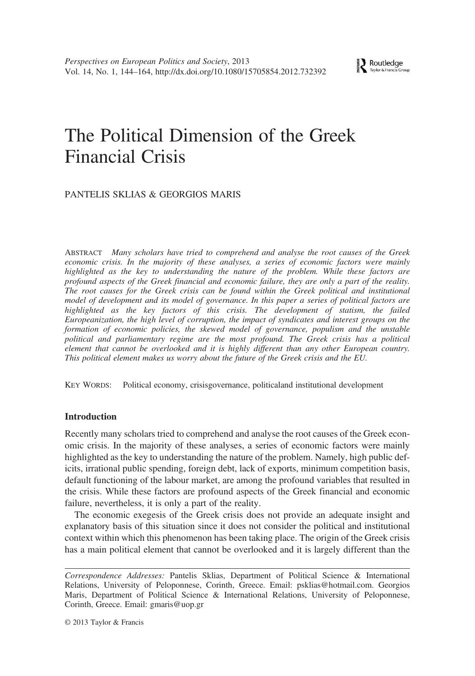$\sum_{\text{Taylor A Francis Group}}$ 

# The Political Dimension of the Greek Financial Crisis

# PANTELIS SKLIAS & GEORGIOS MARIS

ABSTRACT Many scholars have tried to comprehend and analyse the root causes of the Greek economic crisis. In the majority of these analyses, a series of economic factors were mainly highlighted as the key to understanding the nature of the problem. While these factors are profound aspects of the Greek financial and economic failure, they are only a part of the reality. The root causes for the Greek crisis can be found within the Greek political and institutional model of development and its model of governance. In this paper a series of political factors are highlighted as the key factors of this crisis. The development of statism, the failed Europeanization, the high level of corruption, the impact of syndicates and interest groups on the formation of economic policies, the skewed model of governance, populism and the unstable political and parliamentary regime are the most profound. The Greek crisis has a political element that cannot be overlooked and it is highly different than any other European country. This political element makes us worry about the future of the Greek crisis and the EU.

KEY WORDS: Political economy, crisisgovernance, politicaland institutional development

# Introduction

Recently many scholars tried to comprehend and analyse the root causes of the Greek economic crisis. In the majority of these analyses, a series of economic factors were mainly highlighted as the key to understanding the nature of the problem. Namely, high public deficits, irrational public spending, foreign debt, lack of exports, minimum competition basis, default functioning of the labour market, are among the profound variables that resulted in the crisis. While these factors are profound aspects of the Greek financial and economic failure, nevertheless, it is only a part of the reality.

The economic exegesis of the Greek crisis does not provide an adequate insight and explanatory basis of this situation since it does not consider the political and institutional context within which this phenomenon has been taking place. The origin of the Greek crisis has a main political element that cannot be overlooked and it is largely different than the

Correspondence Addresses: Pantelis Sklias, Department of Political Science & International Relations, University of Peloponnese, Corinth, Greece. Email: psklias@hotmail.com. Georgios Maris, Department of Political Science & International Relations, University of Peloponnese, Corinth, Greece. Email: gmaris@uop.gr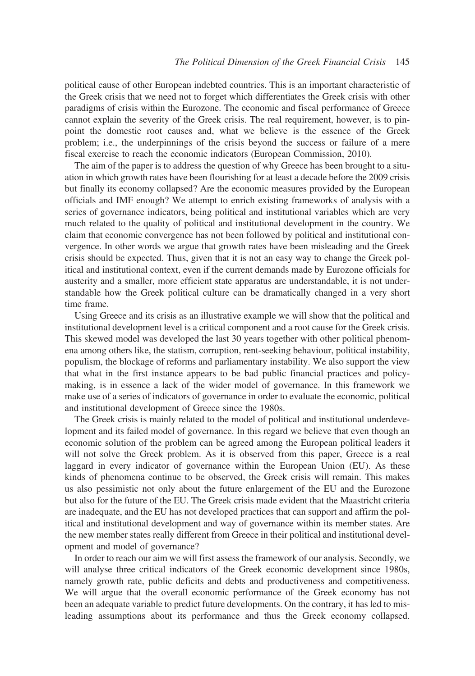political cause of other European indebted countries. This is an important characteristic of the Greek crisis that we need not to forget which differentiates the Greek crisis with other paradigms of crisis within the Eurozone. The economic and fiscal performance of Greece cannot explain the severity of the Greek crisis. The real requirement, however, is to pinpoint the domestic root causes and, what we believe is the essence of the Greek problem; i.e., the underpinnings of the crisis beyond the success or failure of a mere fiscal exercise to reach the economic indicators (European Commission, 2010).

The aim of the paper is to address the question of why Greece has been brought to a situation in which growth rates have been flourishing for at least a decade before the 2009 crisis but finally its economy collapsed? Are the economic measures provided by the European officials and IMF enough? We attempt to enrich existing frameworks of analysis with a series of governance indicators, being political and institutional variables which are very much related to the quality of political and institutional development in the country. We claim that economic convergence has not been followed by political and institutional convergence. In other words we argue that growth rates have been misleading and the Greek crisis should be expected. Thus, given that it is not an easy way to change the Greek political and institutional context, even if the current demands made by Eurozone officials for austerity and a smaller, more efficient state apparatus are understandable, it is not understandable how the Greek political culture can be dramatically changed in a very short time frame.

Using Greece and its crisis as an illustrative example we will show that the political and institutional development level is a critical component and a root cause for the Greek crisis. This skewed model was developed the last 30 years together with other political phenomena among others like, the statism, corruption, rent-seeking behaviour, political instability, populism, the blockage of reforms and parliamentary instability. We also support the view that what in the first instance appears to be bad public financial practices and policymaking, is in essence a lack of the wider model of governance. In this framework we make use of a series of indicators of governance in order to evaluate the economic, political and institutional development of Greece since the 1980s.

The Greek crisis is mainly related to the model of political and institutional underdevelopment and its failed model of governance. In this regard we believe that even though an economic solution of the problem can be agreed among the European political leaders it will not solve the Greek problem. As it is observed from this paper, Greece is a real laggard in every indicator of governance within the European Union (EU). As these kinds of phenomena continue to be observed, the Greek crisis will remain. This makes us also pessimistic not only about the future enlargement of the EU and the Eurozone but also for the future of the EU. The Greek crisis made evident that the Maastricht criteria are inadequate, and the EU has not developed practices that can support and affirm the political and institutional development and way of governance within its member states. Are the new member states really different from Greece in their political and institutional development and model of governance?

In order to reach our aim we will first assess the framework of our analysis. Secondly, we will analyse three critical indicators of the Greek economic development since 1980s, namely growth rate, public deficits and debts and productiveness and competitiveness. We will argue that the overall economic performance of the Greek economy has not been an adequate variable to predict future developments. On the contrary, it has led to misleading assumptions about its performance and thus the Greek economy collapsed.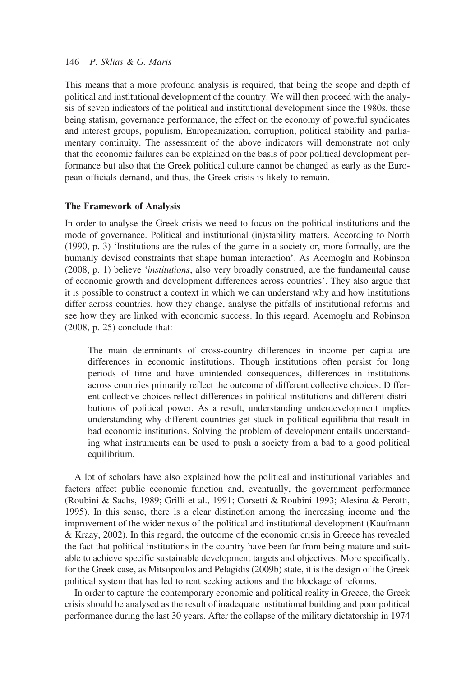This means that a more profound analysis is required, that being the scope and depth of political and institutional development of the country. We will then proceed with the analysis of seven indicators of the political and institutional development since the 1980s, these being statism, governance performance, the effect on the economy of powerful syndicates and interest groups, populism, Europeanization, corruption, political stability and parliamentary continuity. The assessment of the above indicators will demonstrate not only that the economic failures can be explained on the basis of poor political development performance but also that the Greek political culture cannot be changed as early as the European officials demand, and thus, the Greek crisis is likely to remain.

## The Framework of Analysis

In order to analyse the Greek crisis we need to focus on the political institutions and the mode of governance. Political and institutional (in)stability matters. According to North (1990, p. 3) 'Institutions are the rules of the game in a society or, more formally, are the humanly devised constraints that shape human interaction'. As Acemoglu and Robinson (2008, p. 1) believe 'institutions, also very broadly construed, are the fundamental cause of economic growth and development differences across countries'. They also argue that it is possible to construct a context in which we can understand why and how institutions differ across countries, how they change, analyse the pitfalls of institutional reforms and see how they are linked with economic success. In this regard, Acemoglu and Robinson (2008, p. 25) conclude that:

The main determinants of cross-country differences in income per capita are differences in economic institutions. Though institutions often persist for long periods of time and have unintended consequences, differences in institutions across countries primarily reflect the outcome of different collective choices. Different collective choices reflect differences in political institutions and different distributions of political power. As a result, understanding underdevelopment implies understanding why different countries get stuck in political equilibria that result in bad economic institutions. Solving the problem of development entails understanding what instruments can be used to push a society from a bad to a good political equilibrium.

A lot of scholars have also explained how the political and institutional variables and factors affect public economic function and, eventually, the government performance (Roubini & Sachs, 1989; Grilli et al., 1991; Corsetti & Roubini 1993; Alesina & Perotti, 1995). In this sense, there is a clear distinction among the increasing income and the improvement of the wider nexus of the political and institutional development (Kaufmann & Kraay, 2002). In this regard, the outcome of the economic crisis in Greece has revealed the fact that political institutions in the country have been far from being mature and suitable to achieve specific sustainable development targets and objectives. More specifically, for the Greek case, as Mitsopoulos and Pelagidis (2009b) state, it is the design of the Greek political system that has led to rent seeking actions and the blockage of reforms.

In order to capture the contemporary economic and political reality in Greece, the Greek crisis should be analysed as the result of inadequate institutional building and poor political performance during the last 30 years. After the collapse of the military dictatorship in 1974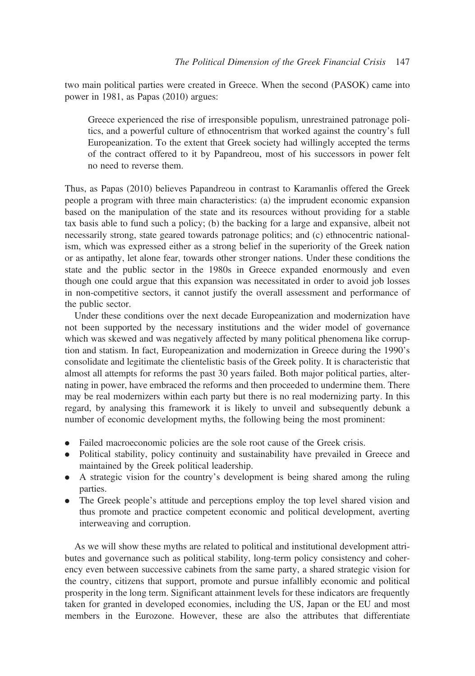two main political parties were created in Greece. When the second (PASOK) came into power in 1981, as Papas (2010) argues:

Greece experienced the rise of irresponsible populism, unrestrained patronage politics, and a powerful culture of ethnocentrism that worked against the country's full Europeanization. To the extent that Greek society had willingly accepted the terms of the contract offered to it by Papandreou, most of his successors in power felt no need to reverse them.

Thus, as Papas (2010) believes Papandreou in contrast to Karamanlis offered the Greek people a program with three main characteristics: (a) the imprudent economic expansion based on the manipulation of the state and its resources without providing for a stable tax basis able to fund such a policy; (b) the backing for a large and expansive, albeit not necessarily strong, state geared towards patronage politics; and (c) ethnocentric nationalism, which was expressed either as a strong belief in the superiority of the Greek nation or as antipathy, let alone fear, towards other stronger nations. Under these conditions the state and the public sector in the 1980s in Greece expanded enormously and even though one could argue that this expansion was necessitated in order to avoid job losses in non-competitive sectors, it cannot justify the overall assessment and performance of the public sector.

Under these conditions over the next decade Europeanization and modernization have not been supported by the necessary institutions and the wider model of governance which was skewed and was negatively affected by many political phenomena like corruption and statism. In fact, Europeanization and modernization in Greece during the 1990's consolidate and legitimate the clientelistic basis of the Greek polity. It is characteristic that almost all attempts for reforms the past 30 years failed. Both major political parties, alternating in power, have embraced the reforms and then proceeded to undermine them. There may be real modernizers within each party but there is no real modernizing party. In this regard, by analysing this framework it is likely to unveil and subsequently debunk a number of economic development myths, the following being the most prominent:

- . Failed macroeconomic policies are the sole root cause of the Greek crisis.
- . Political stability, policy continuity and sustainability have prevailed in Greece and maintained by the Greek political leadership.
- . A strategic vision for the country's development is being shared among the ruling parties.
- . The Greek people's attitude and perceptions employ the top level shared vision and thus promote and practice competent economic and political development, averting interweaving and corruption.

As we will show these myths are related to political and institutional development attributes and governance such as political stability, long-term policy consistency and coherency even between successive cabinets from the same party, a shared strategic vision for the country, citizens that support, promote and pursue infallibly economic and political prosperity in the long term. Significant attainment levels for these indicators are frequently taken for granted in developed economies, including the US, Japan or the EU and most members in the Eurozone. However, these are also the attributes that differentiate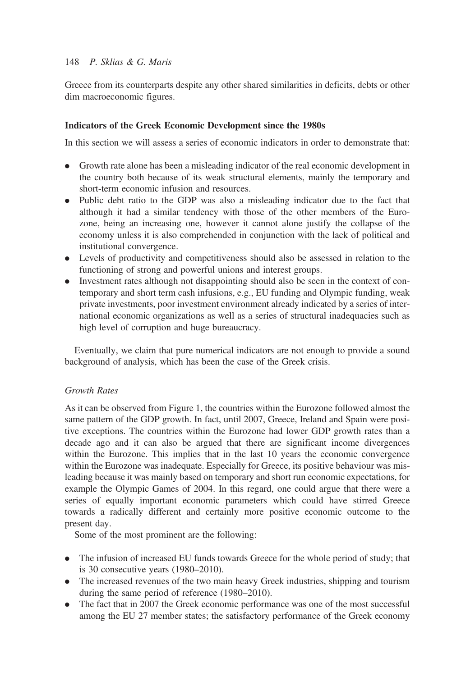Greece from its counterparts despite any other shared similarities in deficits, debts or other dim macroeconomic figures.

# Indicators of the Greek Economic Development since the 1980s

In this section we will assess a series of economic indicators in order to demonstrate that:

- . Growth rate alone has been a misleading indicator of the real economic development in the country both because of its weak structural elements, mainly the temporary and short-term economic infusion and resources.
- . Public debt ratio to the GDP was also a misleading indicator due to the fact that although it had a similar tendency with those of the other members of the Eurozone, being an increasing one, however it cannot alone justify the collapse of the economy unless it is also comprehended in conjunction with the lack of political and institutional convergence.
- . Levels of productivity and competitiveness should also be assessed in relation to the functioning of strong and powerful unions and interest groups.
- . Investment rates although not disappointing should also be seen in the context of contemporary and short term cash infusions, e.g., EU funding and Olympic funding, weak private investments, poor investment environment already indicated by a series of international economic organizations as well as a series of structural inadequacies such as high level of corruption and huge bureaucracy.

Eventually, we claim that pure numerical indicators are not enough to provide a sound background of analysis, which has been the case of the Greek crisis.

# Growth Rates

As it can be observed from Figure 1, the countries within the Eurozone followed almost the same pattern of the GDP growth. In fact, until 2007, Greece, Ireland and Spain were positive exceptions. The countries within the Eurozone had lower GDP growth rates than a decade ago and it can also be argued that there are significant income divergences within the Eurozone. This implies that in the last 10 years the economic convergence within the Eurozone was inadequate. Especially for Greece, its positive behaviour was misleading because it was mainly based on temporary and short run economic expectations, for example the Olympic Games of 2004. In this regard, one could argue that there were a series of equally important economic parameters which could have stirred Greece towards a radically different and certainly more positive economic outcome to the present day.

Some of the most prominent are the following:

- . The infusion of increased EU funds towards Greece for the whole period of study; that is 30 consecutive years (1980–2010).
- . The increased revenues of the two main heavy Greek industries, shipping and tourism during the same period of reference (1980–2010).
- . The fact that in 2007 the Greek economic performance was one of the most successful among the EU 27 member states; the satisfactory performance of the Greek economy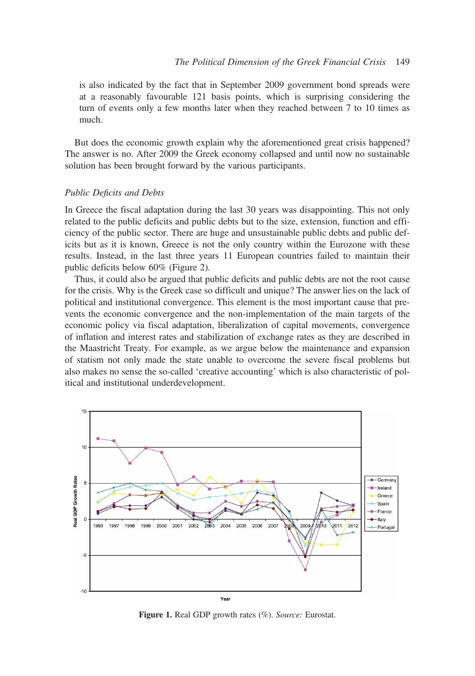is also indicated by the fact that in September 2009 government bond spreads were at a reasonably favourable 121 basis points, which is surprising considering the turn of events only a few months later when they reached between 7 to 10 times as much.

But does the economic growth explain why the aforementioned great crisis happened? The answer is no. After 2009 the Greek economy collapsed and until now no sustainable solution has been brought forward by the various participants.

## Public Deficits and Debts

In Greece the fiscal adaptation during the last 30 years was disappointing. This not only related to the public deficits and public debts but to the size, extension, function and efficiency of the public sector. There are huge and unsustainable public debts and public deficits but as it is known, Greece is not the only country within the Eurozone with these results. Instead, in the last three years 11 European countries failed to maintain their public deficits below 60% (Figure 2).

Thus, it could also be argued that public deficits and public debts are not the root cause for the crisis. Why is the Greek case so difficult and unique? The answer lies on the lack of political and institutional convergence. This element is the most important cause that prevents the economic convergence and the non-implementation of the main targets of the economic policy via fiscal adaptation, liberalization of capital movements, convergence of inflation and interest rates and stabilization of exchange rates as they are described in the Maastricht Treaty. For example, as we argue below the maintenance and expansion of statism not only made the state unable to overcome the severe fiscal problems but also makes no sense the so-called 'creative accounting' which is also characteristic of political and institutional underdevelopment.



Figure 1. Real GDP growth rates (%). Source: Eurostat.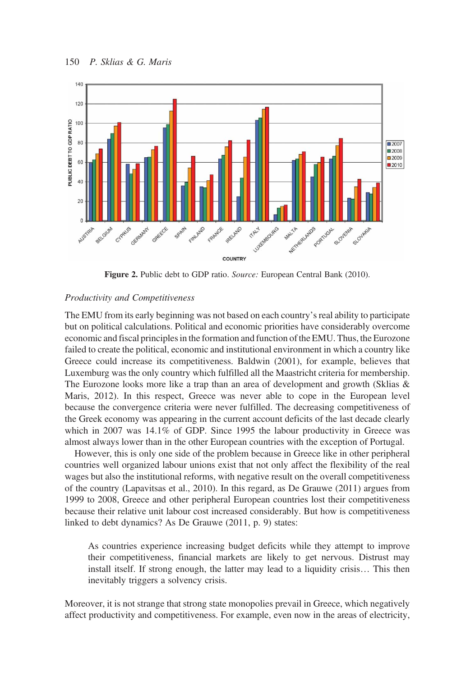

Figure 2. Public debt to GDP ratio. Source: European Central Bank (2010).

# Productivity and Competitiveness

The EMU from its early beginning was not based on each country's real ability to participate but on political calculations. Political and economic priorities have considerably overcome economic and fiscal principles in the formation and function of the EMU. Thus, the Eurozone failed to create the political, economic and institutional environment in which a country like Greece could increase its competitiveness. Baldwin (2001), for example, believes that Luxemburg was the only country which fulfilled all the Maastricht criteria for membership. The Eurozone looks more like a trap than an area of development and growth (Sklias & Maris, 2012). In this respect, Greece was never able to cope in the European level because the convergence criteria were never fulfilled. The decreasing competitiveness of the Greek economy was appearing in the current account deficits of the last decade clearly which in 2007 was  $14.1\%$  of GDP. Since 1995 the labour productivity in Greece was almost always lower than in the other European countries with the exception of Portugal.

However, this is only one side of the problem because in Greece like in other peripheral countries well organized labour unions exist that not only affect the flexibility of the real wages but also the institutional reforms, with negative result on the overall competitiveness of the country (Lapavitsas et al., 2010). In this regard, as De Grauwe (2011) argues from 1999 to 2008, Greece and other peripheral European countries lost their competitiveness because their relative unit labour cost increased considerably. But how is competitiveness linked to debt dynamics? As De Grauwe (2011, p. 9) states:

As countries experience increasing budget deficits while they attempt to improve their competitiveness, financial markets are likely to get nervous. Distrust may install itself. If strong enough, the latter may lead to a liquidity crisis… This then inevitably triggers a solvency crisis.

Moreover, it is not strange that strong state monopolies prevail in Greece, which negatively affect productivity and competitiveness. For example, even now in the areas of electricity,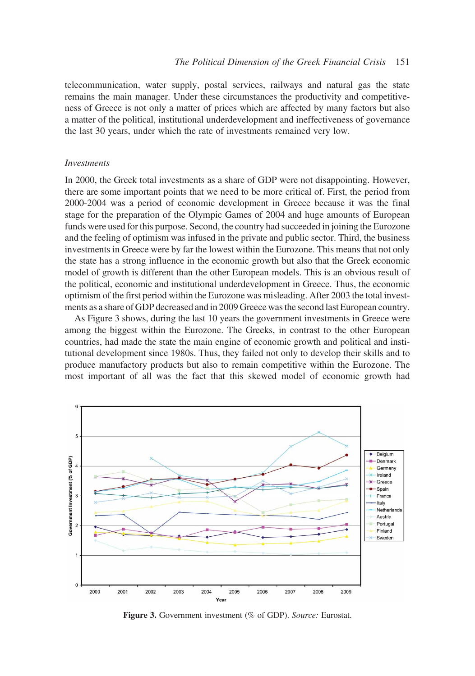telecommunication, water supply, postal services, railways and natural gas the state remains the main manager. Under these circumstances the productivity and competitiveness of Greece is not only a matter of prices which are affected by many factors but also a matter of the political, institutional underdevelopment and ineffectiveness of governance the last 30 years, under which the rate of investments remained very low.

#### Investments

In 2000, the Greek total investments as a share of GDP were not disappointing. However, there are some important points that we need to be more critical of. First, the period from 2000-2004 was a period of economic development in Greece because it was the final stage for the preparation of the Olympic Games of 2004 and huge amounts of European funds were used for this purpose. Second, the country had succeeded in joining the Eurozone and the feeling of optimism was infused in the private and public sector. Third, the business investments in Greece were by far the lowest within the Eurozone. This means that not only the state has a strong influence in the economic growth but also that the Greek economic model of growth is different than the other European models. This is an obvious result of the political, economic and institutional underdevelopment in Greece. Thus, the economic optimism of the first period within the Eurozone was misleading. After 2003 the total investments as a share of GDP decreased and in 2009 Greece was the second last European country.

As Figure 3 shows, during the last 10 years the government investments in Greece were among the biggest within the Eurozone. The Greeks, in contrast to the other European countries, had made the state the main engine of economic growth and political and institutional development since 1980s. Thus, they failed not only to develop their skills and to produce manufactory products but also to remain competitive within the Eurozone. The most important of all was the fact that this skewed model of economic growth had



Figure 3. Government investment (% of GDP). Source: Eurostat.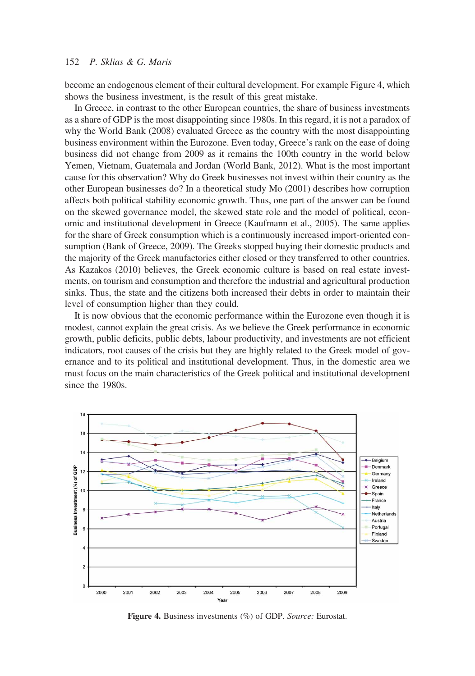become an endogenous element of their cultural development. For example Figure 4, which shows the business investment, is the result of this great mistake.

In Greece, in contrast to the other European countries, the share of business investments as a share of GDP is the most disappointing since 1980s. In this regard, it is not a paradox of why the World Bank (2008) evaluated Greece as the country with the most disappointing business environment within the Eurozone. Even today, Greece's rank on the ease of doing business did not change from 2009 as it remains the 100th country in the world below Yemen, Vietnam, Guatemala and Jordan (World Bank, 2012). What is the most important cause for this observation? Why do Greek businesses not invest within their country as the other European businesses do? In a theoretical study Mo (2001) describes how corruption affects both political stability economic growth. Thus, one part of the answer can be found on the skewed governance model, the skewed state role and the model of political, economic and institutional development in Greece (Kaufmann et al., 2005). The same applies for the share of Greek consumption which is a continuously increased import-oriented consumption (Bank of Greece, 2009). The Greeks stopped buying their domestic products and the majority of the Greek manufactories either closed or they transferred to other countries. As Kazakos (2010) believes, the Greek economic culture is based on real estate investments, on tourism and consumption and therefore the industrial and agricultural production sinks. Thus, the state and the citizens both increased their debts in order to maintain their level of consumption higher than they could.

It is now obvious that the economic performance within the Eurozone even though it is modest, cannot explain the great crisis. As we believe the Greek performance in economic growth, public deficits, public debts, labour productivity, and investments are not efficient indicators, root causes of the crisis but they are highly related to the Greek model of governance and to its political and institutional development. Thus, in the domestic area we must focus on the main characteristics of the Greek political and institutional development since the 1980s.



Figure 4. Business investments (%) of GDP. Source: Eurostat.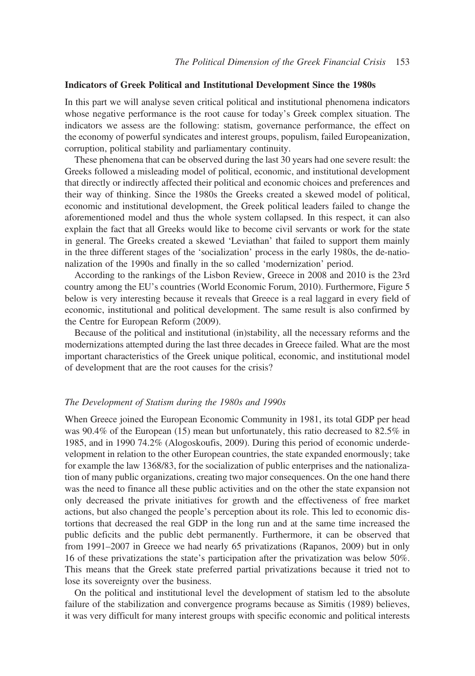## Indicators of Greek Political and Institutional Development Since the 1980s

In this part we will analyse seven critical political and institutional phenomena indicators whose negative performance is the root cause for today's Greek complex situation. The indicators we assess are the following: statism, governance performance, the effect on the economy of powerful syndicates and interest groups, populism, failed Europeanization, corruption, political stability and parliamentary continuity.

These phenomena that can be observed during the last 30 years had one severe result: the Greeks followed a misleading model of political, economic, and institutional development that directly or indirectly affected their political and economic choices and preferences and their way of thinking. Since the 1980s the Greeks created a skewed model of political, economic and institutional development, the Greek political leaders failed to change the aforementioned model and thus the whole system collapsed. In this respect, it can also explain the fact that all Greeks would like to become civil servants or work for the state in general. The Greeks created a skewed 'Leviathan' that failed to support them mainly in the three different stages of the 'socialization' process in the early 1980s, the de-nationalization of the 1990s and finally in the so called 'modernization' period.

According to the rankings of the Lisbon Review, Greece in 2008 and 2010 is the 23rd country among the EU's countries (World Economic Forum, 2010). Furthermore, Figure 5 below is very interesting because it reveals that Greece is a real laggard in every field of economic, institutional and political development. The same result is also confirmed by the Centre for European Reform (2009).

Because of the political and institutional (in)stability, all the necessary reforms and the modernizations attempted during the last three decades in Greece failed. What are the most important characteristics of the Greek unique political, economic, and institutional model of development that are the root causes for the crisis?

#### The Development of Statism during the 1980s and 1990s

When Greece joined the European Economic Community in 1981, its total GDP per head was 90.4% of the European (15) mean but unfortunately, this ratio decreased to 82.5% in 1985, and in 1990 74.2% (Alogoskoufis, 2009). During this period of economic underdevelopment in relation to the other European countries, the state expanded enormously; take for example the law 1368/83, for the socialization of public enterprises and the nationalization of many public organizations, creating two major consequences. On the one hand there was the need to finance all these public activities and on the other the state expansion not only decreased the private initiatives for growth and the effectiveness of free market actions, but also changed the people's perception about its role. This led to economic distortions that decreased the real GDP in the long run and at the same time increased the public deficits and the public debt permanently. Furthermore, it can be observed that from 1991–2007 in Greece we had nearly 65 privatizations (Rapanos, 2009) but in only 16 of these privatizations the state's participation after the privatization was below 50%. This means that the Greek state preferred partial privatizations because it tried not to lose its sovereignty over the business.

On the political and institutional level the development of statism led to the absolute failure of the stabilization and convergence programs because as Simitis (1989) believes, it was very difficult for many interest groups with specific economic and political interests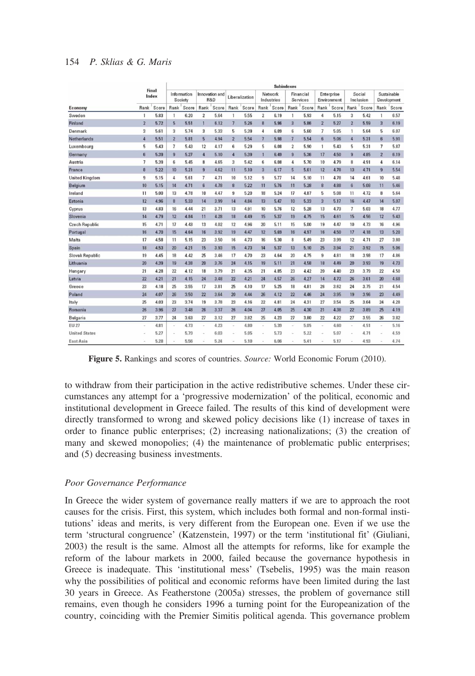|                        |                          |                |                |                        |                |                       |                |                |                          | <b>Subindexes</b>     |                         |                       |                          |                           |                |                     |                |                            |  |
|------------------------|--------------------------|----------------|----------------|------------------------|----------------|-----------------------|----------------|----------------|--------------------------|-----------------------|-------------------------|-----------------------|--------------------------|---------------------------|----------------|---------------------|----------------|----------------------------|--|
|                        |                          | Final<br>Index |                | Information<br>Society |                | Innovation and<br>R&D |                | Liberalization |                          | Network<br>Industries |                         | Financial<br>Services |                          | Enterprise<br>Environment |                | Social<br>Inclusion |                | Sustainable<br>Development |  |
| Economy                | Rank                     | Score          | Rank           | Score                  | Rank           | Score                 | Rank           | Score          | Rank                     | Score                 | Rank                    | Score                 | Rank                     | Score                     | Rank           | Score               | Rank           | Score                      |  |
| Sweden                 | 1                        | 5.83           | 1              | 6.20                   | $\overline{2}$ | 5.64                  | 1              | 5.55           | $\overline{2}$           | 6.19                  | 1                       | 5.93                  | $\overline{4}$           | 5.15                      | 3              | 5.42                | 1              | 6.57                       |  |
| Finland                | $\overline{2}$           | 5.72           | 5              | 5.51                   | $\mathbf{1}$   | 6.12                  | $\overline{7}$ | 5.26           | 8                        | 5.96                  | $\overline{3}$          | 5.86                  | $\overline{2}$           | 5.27                      | $\overline{2}$ | 5.59                | $\overline{3}$ | 6.19                       |  |
| Denmark                | 3                        | 5.61           | 3              | 5.74                   | 3              | 5.33                  | 5              | 5.39           | 4                        | 6.09                  | 6                       | 5.60                  | $\overline{7}$           | 5.05                      | 1              | 5.64                | 5              | 6.07                       |  |
| <b>Netherlands</b>     | 4                        | 5.51           | $\overline{2}$ | 5.81                   | 5              | 4.94                  | $\overline{2}$ | 5.54           | $\overline{7}$           | 5.98                  | $\overline{7}$          | 5.54                  | $6\overline{6}$          | 5.06                      | $\overline{4}$ | 5.31                | 6              | 5.91                       |  |
| Luxembourg             | 5                        | 5.43           | $\overline{7}$ | 5.43                   | 12             | 4.17                  | 6              | 5.29           | 5                        | 6.08                  | $\overline{\mathbf{2}}$ | 5.90                  | 1                        | 5.43                      | 5              | 5.31                | $\overline{7}$ | 5.87                       |  |
| Germany                | 6                        | 5.39           | $\overline{9}$ | 5.27                   | 4              | 5.10                  | 4              | 5.39           | 1                        | 6.49                  | 9                       | 5.36                  | 17                       | 4.50                      | 9              | 4.85                | $\overline{2}$ | 6.19                       |  |
| Austria                | 7                        | 5.39           | 6              | 5.45                   | 8              | 4.65                  | 3              | 5.42           | 6                        | 6.08                  | 4                       | 5.70                  | 10                       | 4.79                      | 8              | 4.91                | 4              | 6.14                       |  |
| France                 | 8                        | 5.22           | 10             | 5.21                   | $\overline{9}$ | 4.62                  | 11             | 5.10           | $\overline{3}$           | 6.17                  | 5                       | 5.61                  | 12                       | 4.78                      | 13             | 4.71                | 9              | 5.54                       |  |
| <b>United Kingdom</b>  | 9                        | 5.15           | 4              | 5.61                   | $\overline{7}$ | 4.71                  | 10             | 5.12           | 9                        | 5.77                  | 14                      | 5.10                  | 11                       | 4.78                      | 14             | 4.61                | 10             | 5.48                       |  |
| Belgium                | 10                       | 5.15           | 14             | 4.71                   | 6              | 4.78                  | 8              | 5.22           | 11                       | 5.76                  | 11                      | 5.28                  | 8                        | 4.88                      | 6              | 5.08                | 11             | 5.46                       |  |
| Ireland                | 11                       | 5.00           | 13             | 4.78                   | 10             | 4.47                  | 9              | 5.20           | 18                       | 5.24                  | 17                      | 4.87                  | 5                        | 5.08                      | 11             | 4.72                | 8              | 5.64                       |  |
| Estonia                | 12                       | 4.96           | 8              | 5.33                   | 14             | 3.99                  | 14             | 4.84           | 13                       | 5.47                  | 10                      | 5.33                  | $\overline{\mathbf{3}}$  | 5.17                      | 16             | 4.47                | 14             | 5.07                       |  |
| Cyprus                 | 13                       | 4.83           | 16             | 4.44                   | 21             | 3.71                  | 13             | 4.91           | 10                       | 5.76                  | 12                      | 5.28                  | 13                       | 4.73                      | $\overline{7}$ | 5.03                | 18             | 4.77                       |  |
| Slovenia               | 14                       | 4.79           | 12             | 4.84                   | 11             | 4.28                  | 18             | 4.49           | 15                       | 5.37                  | 19                      | 4.75                  | 15                       | 4.61                      | 15             | 4.56                | 12             | 5.43                       |  |
| <b>Czech Republic</b>  | 15                       | 4.71           | 17             | 4.43                   | 13             | 4.02                  | 12             | 4.96           | 20                       | 5.11                  | 15                      | 5.00                  | 19                       | 4.47                      | 10             | 4.73                | 16             | 4.96                       |  |
| Portugal               | 16                       | 4.70           | 15             | 4.64                   | 16             | 3.92                  | 19             | 4.47           | 12                       | 5.69                  | 16                      | 4.97                  | 16                       | 4.50                      | 17             | 4.18                | 13             | 5.20                       |  |
| Malta                  | 17                       | 4.58           | 11             | 5.15                   | 23             | 3.50                  | 16             | 4.73           | 16                       | 5.30                  | 8                       | 5.49                  | 23                       | 3.99                      | 12             | 4.71                | 27             | 3.80                       |  |
| Spain                  | 18                       | 4.53           | 20             | 4.21                   | 15             | 3.93                  | 15             | 4.73           | 14                       | 5,37                  | 13                      | 5.10                  | 25                       | 3.94                      | 21             | 3.92                | 15             | 5.06                       |  |
| <b>Slovak Republic</b> | 19                       | 4.45           | 18             | 4.42                   | 25             | 3.46                  | 17             | 4.70           | 23                       | 4.64                  | 20                      | 4.75                  | $\overline{9}$           | 4.81                      | 18             | 3.98                | 17             | 4.86                       |  |
| Lithuania              | 20                       | 4.39           | 19             | 4.38                   | 20             | 3.76                  | 24             | 4.15           | 19                       | 5.11                  | 21                      | 4.58                  | 18                       | 4.49                      | 20             | 3.93                | 19             | 4.73                       |  |
| Hungary                | 21                       | 4.28           | 22             | 4.12                   | 18             | 3.79                  | 21             | 4.35           | 21                       | 4.85                  | 23                      | 4.42                  | 20                       | 4.40                      | 23             | 3.79                | 22             | 4.50                       |  |
| Latvia                 | 22                       | 4.21           | 21             | 4.15                   | 24             | 3.48                  | 22             | 4.21           | 24                       | 4.57                  | 26                      | 4.27                  | 14                       | 4.72                      | 26             | 3.61                | 20             | 4.68                       |  |
| Greece                 | 23                       | 4.18           | 25             | 3.55                   | 17             | 3.81                  | 25             | 4.10           | 17                       | 5.25                  | 18                      | 4.81                  | 26                       | 3.62                      | 24             | 3.75                | 21             | 4.54                       |  |
| Poland                 | 24                       | 4.07           | 26             | 3.50                   | 22             | 3.64                  | 20             | 4.44           | 26                       | 4.12                  | 22                      | 4.46                  | 24                       | 3.95                      | 19             | 3.96                | 23             | 4.49                       |  |
| Italy                  | 25                       | 4.03           | 23             | 3.74                   | 19             | 3.78                  | 23             | 4.16           | 22                       | 4.81                  | 24                      | 4.31                  | 27                       | 3.54                      | 25             | 3.64                | 24             | 4.28                       |  |
| Romania                | 26                       | 3.96           | 27             | 3.48                   | 26             | 3.37                  | 26             | 4.04           | 27                       | 4.05                  | 25                      | 4.30                  | 21                       | 4.38                      | 22             | 3.89                | 25             | 4.19                       |  |
| Bulgaria               | 27                       | 3.77           | 24             | 3.63                   | 27             | 3.12                  | 27             | 3.82           | 25                       | 4.23                  | 27                      | 3.80                  | 22                       | 4.22                      | 27             | 3.55                | 26             | 3.82                       |  |
| <b>EU 27</b>           | ä,                       | 4.81           | ×,             | 4.73                   | $\sim$         | 4.23                  | $\sim$         | 4.80           | $\overline{a}$           | 5.39                  | ×                       | 5.05                  | $\omega$                 | 4.60                      | ÷.             | 4.51                | ×              | 5.16                       |  |
| <b>United States</b>   |                          | 5.27           | $\sim$         | 5.79                   | $\sim$         | 6.03                  | ٠              | 5.05           | $\overline{\phantom{a}}$ | 5.73                  | ×.                      | 5.22                  | $\overline{\phantom{a}}$ | 5.07                      | ×,             | 4.71                | ä              | 4.59                       |  |
| East Asia              | $\overline{\phantom{a}}$ | 5.28           |                | 5.56                   | ÷              | 5.24                  | $\sim$         | 5.10           | ÷                        | 6.06                  | z                       | 5.41                  | $\sim$                   | 5.17                      | ä,             | 4.93                | $\overline{a}$ | 4.74                       |  |

Figure 5. Rankings and scores of countries. Source: World Economic Forum (2010).

to withdraw from their participation in the active redistributive schemes. Under these circumstances any attempt for a 'progressive modernization' of the political, economic and institutional development in Greece failed. The results of this kind of development were directly transformed to wrong and skewed policy decisions like (1) increase of taxes in order to finance public enterprises; (2) increasing nationalizations; (3) the creation of many and skewed monopolies; (4) the maintenance of problematic public enterprises; and (5) decreasing business investments.

# Poor Governance Performance

In Greece the wider system of governance really matters if we are to approach the root causes for the crisis. First, this system, which includes both formal and non-formal institutions' ideas and merits, is very different from the European one. Even if we use the term 'structural congruence' (Katzenstein, 1997) or the term 'institutional fit' (Giuliani, 2003) the result is the same. Almost all the attempts for reforms, like for example the reform of the labour markets in 2000, failed because the governance hypothesis in Greece is inadequate. This 'institutional mess' (Tsebelis, 1995) was the main reason why the possibilities of political and economic reforms have been limited during the last 30 years in Greece. As Featherstone (2005a) stresses, the problem of governance still remains, even though he considers 1996 a turning point for the Europeanization of the country, coinciding with the Premier Simitis political agenda. This governance problem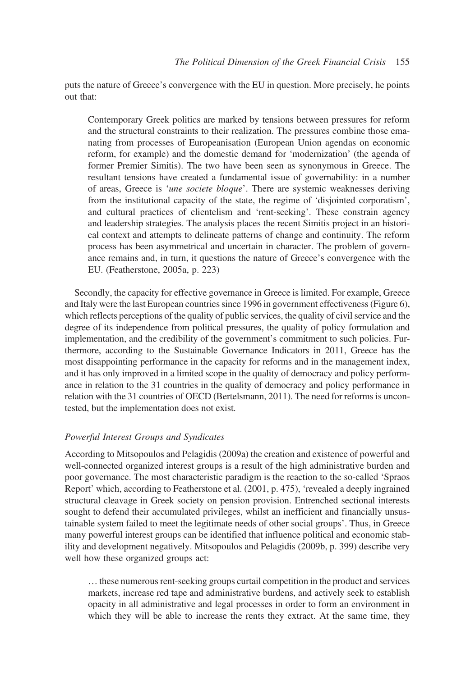puts the nature of Greece's convergence with the EU in question. More precisely, he points out that:

Contemporary Greek politics are marked by tensions between pressures for reform and the structural constraints to their realization. The pressures combine those emanating from processes of Europeanisation (European Union agendas on economic reform, for example) and the domestic demand for 'modernization' (the agenda of former Premier Simitis). The two have been seen as synonymous in Greece. The resultant tensions have created a fundamental issue of governability: in a number of areas, Greece is 'une societe bloque'. There are systemic weaknesses deriving from the institutional capacity of the state, the regime of 'disjointed corporatism', and cultural practices of clientelism and 'rent-seeking'. These constrain agency and leadership strategies. The analysis places the recent Simitis project in an historical context and attempts to delineate patterns of change and continuity. The reform process has been asymmetrical and uncertain in character. The problem of governance remains and, in turn, it questions the nature of Greece's convergence with the EU. (Featherstone, 2005a, p. 223)

Secondly, the capacity for effective governance in Greece is limited. For example, Greece and Italy were the last European countries since 1996 in government effectiveness (Figure 6), which reflects perceptions of the quality of public services, the quality of civil service and the degree of its independence from political pressures, the quality of policy formulation and implementation, and the credibility of the government's commitment to such policies. Furthermore, according to the Sustainable Governance Indicators in 2011, Greece has the most disappointing performance in the capacity for reforms and in the management index, and it has only improved in a limited scope in the quality of democracy and policy performance in relation to the 31 countries in the quality of democracy and policy performance in relation with the 31 countries of OECD (Bertelsmann, 2011). The need for reforms is uncontested, but the implementation does not exist.

# Powerful Interest Groups and Syndicates

According to Mitsopoulos and Pelagidis (2009a) the creation and existence of powerful and well-connected organized interest groups is a result of the high administrative burden and poor governance. The most characteristic paradigm is the reaction to the so-called 'Spraos Report' which, according to Featherstone et al. (2001, p. 475), 'revealed a deeply ingrained structural cleavage in Greek society on pension provision. Entrenched sectional interests sought to defend their accumulated privileges, whilst an inefficient and financially unsustainable system failed to meet the legitimate needs of other social groups'. Thus, in Greece many powerful interest groups can be identified that influence political and economic stability and development negatively. Mitsopoulos and Pelagidis (2009b, p. 399) describe very well how these organized groups act:

… these numerous rent-seeking groups curtail competition in the product and services markets, increase red tape and administrative burdens, and actively seek to establish opacity in all administrative and legal processes in order to form an environment in which they will be able to increase the rents they extract. At the same time, they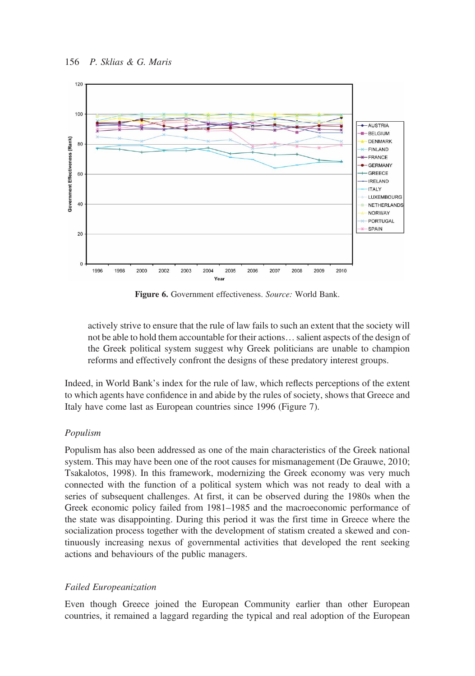

Figure 6. Government effectiveness. Source: World Bank.

actively strive to ensure that the rule of law fails to such an extent that the society will not be able to hold them accountable for their actions… salient aspects of the design of the Greek political system suggest why Greek politicians are unable to champion reforms and effectively confront the designs of these predatory interest groups.

Indeed, in World Bank's index for the rule of law, which reflects perceptions of the extent to which agents have confidence in and abide by the rules of society, shows that Greece and Italy have come last as European countries since 1996 (Figure 7).

# Populism

Populism has also been addressed as one of the main characteristics of the Greek national system. This may have been one of the root causes for mismanagement (De Grauwe, 2010; Tsakalotos, 1998). In this framework, modernizing the Greek economy was very much connected with the function of a political system which was not ready to deal with a series of subsequent challenges. At first, it can be observed during the 1980s when the Greek economic policy failed from 1981–1985 and the macroeconomic performance of the state was disappointing. During this period it was the first time in Greece where the socialization process together with the development of statism created a skewed and continuously increasing nexus of governmental activities that developed the rent seeking actions and behaviours of the public managers.

# Failed Europeanization

Even though Greece joined the European Community earlier than other European countries, it remained a laggard regarding the typical and real adoption of the European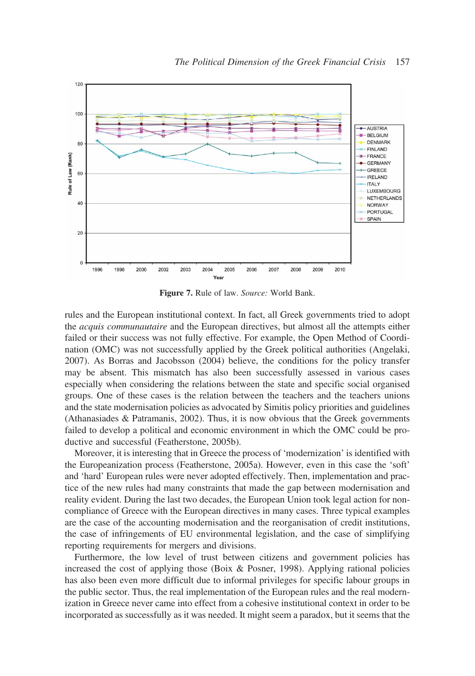

Figure 7. Rule of law. Source: World Bank.

rules and the European institutional context. In fact, all Greek governments tried to adopt the acquis communautaire and the European directives, but almost all the attempts either failed or their success was not fully effective. For example, the Open Method of Coordination (OMC) was not successfully applied by the Greek political authorities (Angelaki, 2007). As Borras and Jacobsson (2004) believe, the conditions for the policy transfer may be absent. This mismatch has also been successfully assessed in various cases especially when considering the relations between the state and specific social organised groups. One of these cases is the relation between the teachers and the teachers unions and the state modernisation policies as advocated by Simitis policy priorities and guidelines (Athanasiades & Patramanis, 2002). Thus, it is now obvious that the Greek governments failed to develop a political and economic environment in which the OMC could be productive and successful (Featherstone, 2005b).

Moreover, it is interesting that in Greece the process of 'modernization' is identified with the Europeanization process (Featherstone, 2005a). However, even in this case the 'soft' and 'hard' European rules were never adopted effectively. Then, implementation and practice of the new rules had many constraints that made the gap between modernisation and reality evident. During the last two decades, the European Union took legal action for noncompliance of Greece with the European directives in many cases. Three typical examples are the case of the accounting modernisation and the reorganisation of credit institutions, the case of infringements of EU environmental legislation, and the case of simplifying reporting requirements for mergers and divisions.

Furthermore, the low level of trust between citizens and government policies has increased the cost of applying those (Boix  $\&$  Posner, 1998). Applying rational policies has also been even more difficult due to informal privileges for specific labour groups in the public sector. Thus, the real implementation of the European rules and the real modernization in Greece never came into effect from a cohesive institutional context in order to be incorporated as successfully as it was needed. It might seem a paradox, but it seems that the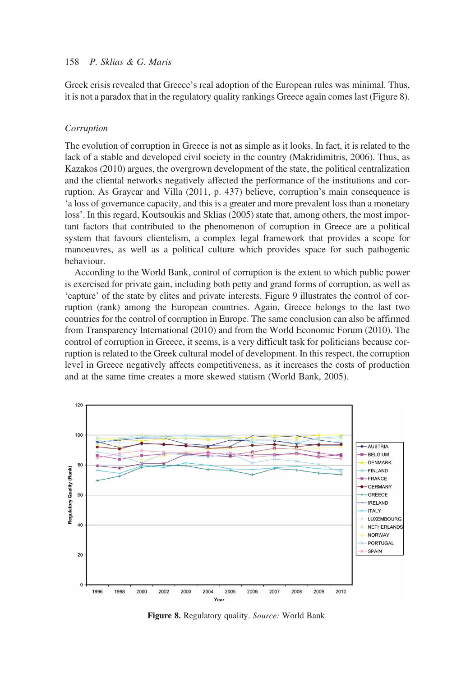Greek crisis revealed that Greece's real adoption of the European rules was minimal. Thus, it is not a paradox that in the regulatory quality rankings Greece again comes last (Figure 8).

# Corruption

The evolution of corruption in Greece is not as simple as it looks. In fact, it is related to the lack of a stable and developed civil society in the country (Makridimitris, 2006). Thus, as Kazakos (2010) argues, the overgrown development of the state, the political centralization and the cliental networks negatively affected the performance of the institutions and corruption. As Graycar and Villa (2011, p. 437) believe, corruption's main consequence is 'a loss of governance capacity, and this is a greater and more prevalent loss than a monetary loss'. In this regard, Koutsoukis and Sklias (2005) state that, among others, the most important factors that contributed to the phenomenon of corruption in Greece are a political system that favours clientelism, a complex legal framework that provides a scope for manoeuvres, as well as a political culture which provides space for such pathogenic behaviour.

According to the World Bank, control of corruption is the extent to which public power is exercised for private gain, including both petty and grand forms of corruption, as well as 'capture' of the state by elites and private interests. Figure 9 illustrates the control of corruption (rank) among the European countries. Again, Greece belongs to the last two countries for the control of corruption in Europe. The same conclusion can also be affirmed from Transparency International (2010) and from the World Economic Forum (2010). The control of corruption in Greece, it seems, is a very difficult task for politicians because corruption is related to the Greek cultural model of development. In this respect, the corruption level in Greece negatively affects competitiveness, as it increases the costs of production and at the same time creates a more skewed statism (World Bank, 2005).



Figure 8. Regulatory quality. Source: World Bank.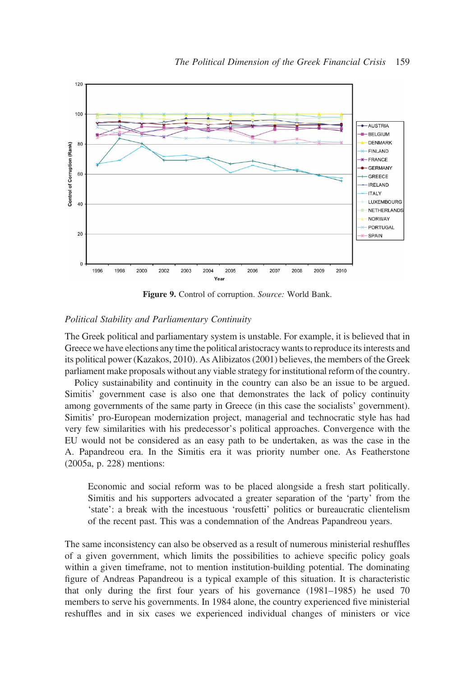

Figure 9. Control of corruption. Source: World Bank.

2006

2007

2008

2009

2010

2005

Year

# Political Stability and Parliamentary Continuity

2002

2003

2004

 $\overline{0}$ 1996

1998

2000

The Greek political and parliamentary system is unstable. For example, it is believed that in Greece we have elections any time the political aristocracy wants to reproduce its interests and its political power (Kazakos, 2010). As Alibizatos (2001) believes, the members of the Greek parliament make proposals without any viable strategy for institutional reform of the country.

Policy sustainability and continuity in the country can also be an issue to be argued. Simitis' government case is also one that demonstrates the lack of policy continuity among governments of the same party in Greece (in this case the socialists' government). Simitis' pro-European modernization project, managerial and technocratic style has had very few similarities with his predecessor's political approaches. Convergence with the EU would not be considered as an easy path to be undertaken, as was the case in the A. Papandreou era. In the Simitis era it was priority number one. As Featherstone (2005a, p. 228) mentions:

Economic and social reform was to be placed alongside a fresh start politically. Simitis and his supporters advocated a greater separation of the 'party' from the 'state': a break with the incestuous 'rousfetti' politics or bureaucratic clientelism of the recent past. This was a condemnation of the Andreas Papandreou years.

The same inconsistency can also be observed as a result of numerous ministerial reshuffles of a given government, which limits the possibilities to achieve specific policy goals within a given timeframe, not to mention institution-building potential. The dominating figure of Andreas Papandreou is a typical example of this situation. It is characteristic that only during the first four years of his governance (1981–1985) he used 70 members to serve his governments. In 1984 alone, the country experienced five ministerial reshuffles and in six cases we experienced individual changes of ministers or vice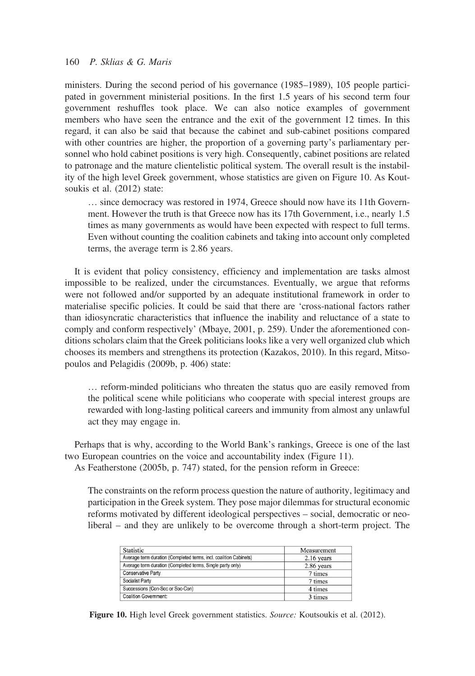ministers. During the second period of his governance (1985–1989), 105 people participated in government ministerial positions. In the first 1.5 years of his second term four government reshuffles took place. We can also notice examples of government members who have seen the entrance and the exit of the government 12 times. In this regard, it can also be said that because the cabinet and sub-cabinet positions compared with other countries are higher, the proportion of a governing party's parliamentary personnel who hold cabinet positions is very high. Consequently, cabinet positions are related to patronage and the mature clientelistic political system. The overall result is the instability of the high level Greek government, whose statistics are given on Figure 10. As Koutsoukis et al. (2012) state:

… since democracy was restored in 1974, Greece should now have its 11th Government. However the truth is that Greece now has its 17th Government, i.e., nearly 1.5 times as many governments as would have been expected with respect to full terms. Even without counting the coalition cabinets and taking into account only completed terms, the average term is 2.86 years.

It is evident that policy consistency, efficiency and implementation are tasks almost impossible to be realized, under the circumstances. Eventually, we argue that reforms were not followed and/or supported by an adequate institutional framework in order to materialise specific policies. It could be said that there are 'cross-national factors rather than idiosyncratic characteristics that influence the inability and reluctance of a state to comply and conform respectively' (Mbaye, 2001, p. 259). Under the aforementioned conditions scholars claim that the Greek politicians looks like a very well organized club which chooses its members and strengthens its protection (Kazakos, 2010). In this regard, Mitsopoulos and Pelagidis (2009b, p. 406) state:

… reform-minded politicians who threaten the status quo are easily removed from the political scene while politicians who cooperate with special interest groups are rewarded with long-lasting political careers and immunity from almost any unlawful act they may engage in.

Perhaps that is why, according to the World Bank's rankings, Greece is one of the last two European countries on the voice and accountability index (Figure 11). As Featherstone (2005b, p. 747) stated, for the pension reform in Greece:

The constraints on the reform process question the nature of authority, legitimacy and participation in the Greek system. They pose major dilemmas for structural economic reforms motivated by different ideological perspectives – social, democratic or neoliberal – and they are unlikely to be overcome through a short-term project. The

| Statistic                                                         | Measurement  |  |  |  |  |
|-------------------------------------------------------------------|--------------|--|--|--|--|
| Average term duration (Completed terms, incl. coalition Cabinets) | $2.16$ years |  |  |  |  |
| Average term duration (Completed terms, Single party only)        | 2.86 years   |  |  |  |  |
| <b>Conservative Party</b>                                         | 7 times      |  |  |  |  |
| Socialist Party                                                   | 7 times      |  |  |  |  |
| Successions (Con-Soc or Soc-Con)                                  | 4 times      |  |  |  |  |
| <b>Coalition Government:</b>                                      | 3 times      |  |  |  |  |

Figure 10. High level Greek government statistics. Source: Koutsoukis et al. (2012).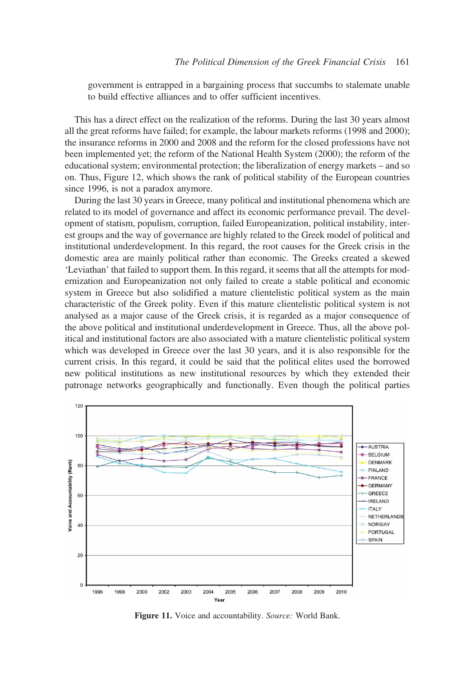government is entrapped in a bargaining process that succumbs to stalemate unable to build effective alliances and to offer sufficient incentives.

This has a direct effect on the realization of the reforms. During the last 30 years almost all the great reforms have failed; for example, the labour markets reforms (1998 and 2000); the insurance reforms in 2000 and 2008 and the reform for the closed professions have not been implemented yet; the reform of the National Health System (2000); the reform of the educational system; environmental protection; the liberalization of energy markets – and so on. Thus, Figure 12, which shows the rank of political stability of the European countries since 1996, is not a paradox anymore.

During the last 30 years in Greece, many political and institutional phenomena which are related to its model of governance and affect its economic performance prevail. The development of statism, populism, corruption, failed Europeanization, political instability, interest groups and the way of governance are highly related to the Greek model of political and institutional underdevelopment. In this regard, the root causes for the Greek crisis in the domestic area are mainly political rather than economic. The Greeks created a skewed 'Leviathan' that failed to support them. In this regard, it seems that all the attempts for modernization and Europeanization not only failed to create a stable political and economic system in Greece but also solidified a mature clientelistic political system as the main characteristic of the Greek polity. Even if this mature clientelistic political system is not analysed as a major cause of the Greek crisis, it is regarded as a major consequence of the above political and institutional underdevelopment in Greece. Thus, all the above political and institutional factors are also associated with a mature clientelistic political system which was developed in Greece over the last 30 years, and it is also responsible for the current crisis. In this regard, it could be said that the political elites used the borrowed new political institutions as new institutional resources by which they extended their patronage networks geographically and functionally. Even though the political parties



Figure 11. Voice and accountability. Source: World Bank.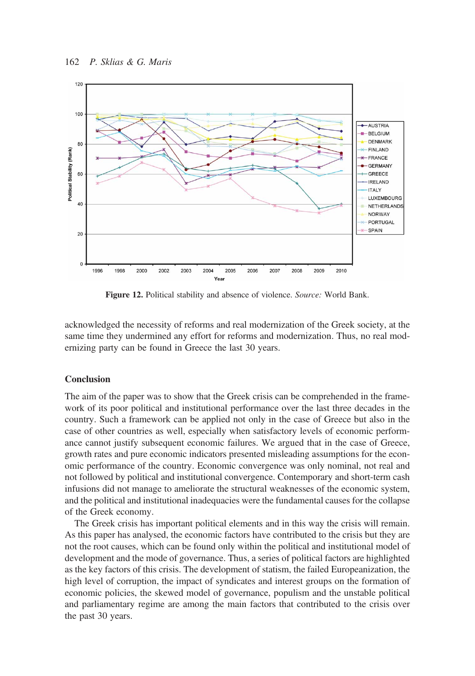

Figure 12. Political stability and absence of violence. Source: World Bank.

acknowledged the necessity of reforms and real modernization of the Greek society, at the same time they undermined any effort for reforms and modernization. Thus, no real modernizing party can be found in Greece the last 30 years.

## Conclusion

The aim of the paper was to show that the Greek crisis can be comprehended in the framework of its poor political and institutional performance over the last three decades in the country. Such a framework can be applied not only in the case of Greece but also in the case of other countries as well, especially when satisfactory levels of economic performance cannot justify subsequent economic failures. We argued that in the case of Greece, growth rates and pure economic indicators presented misleading assumptions for the economic performance of the country. Economic convergence was only nominal, not real and not followed by political and institutional convergence. Contemporary and short-term cash infusions did not manage to ameliorate the structural weaknesses of the economic system, and the political and institutional inadequacies were the fundamental causes for the collapse of the Greek economy.

The Greek crisis has important political elements and in this way the crisis will remain. As this paper has analysed, the economic factors have contributed to the crisis but they are not the root causes, which can be found only within the political and institutional model of development and the mode of governance. Thus, a series of political factors are highlighted as the key factors of this crisis. The development of statism, the failed Europeanization, the high level of corruption, the impact of syndicates and interest groups on the formation of economic policies, the skewed model of governance, populism and the unstable political and parliamentary regime are among the main factors that contributed to the crisis over the past 30 years.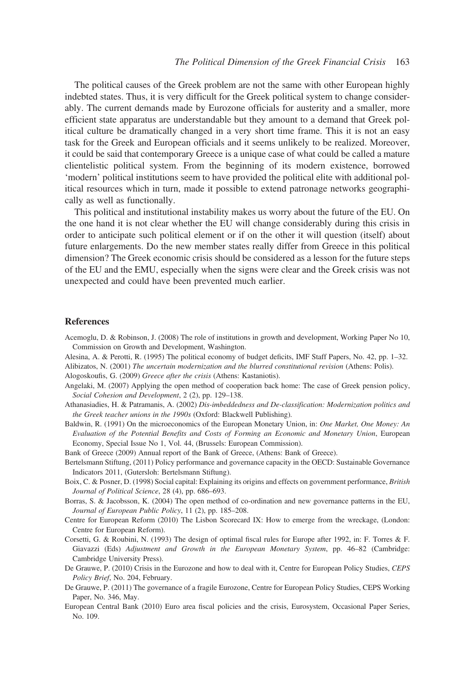The political causes of the Greek problem are not the same with other European highly indebted states. Thus, it is very difficult for the Greek political system to change considerably. The current demands made by Eurozone officials for austerity and a smaller, more efficient state apparatus are understandable but they amount to a demand that Greek political culture be dramatically changed in a very short time frame. This it is not an easy task for the Greek and European officials and it seems unlikely to be realized. Moreover, it could be said that contemporary Greece is a unique case of what could be called a mature clientelistic political system. From the beginning of its modern existence, borrowed 'modern' political institutions seem to have provided the political elite with additional political resources which in turn, made it possible to extend patronage networks geographically as well as functionally.

This political and institutional instability makes us worry about the future of the EU. On the one hand it is not clear whether the EU will change considerably during this crisis in order to anticipate such political element or if on the other it will question (itself) about future enlargements. Do the new member states really differ from Greece in this political dimension? The Greek economic crisis should be considered as a lesson for the future steps of the EU and the EMU, especially when the signs were clear and the Greek crisis was not unexpected and could have been prevented much earlier.

# **References**

- Acemoglu, D. & Robinson, J. (2008) The role of institutions in growth and development, Working Paper No 10, Commission on Growth and Development, Washington.
- Alesina, A. & Perotti, R. (1995) The political economy of budget deficits, IMF Staff Papers, No. 42, pp. 1–32.
- Alibizatos, N. (2001) The uncertain modernization and the blurred constitutional revision (Athens: Polis).

Alogoskoufis, G. (2009) Greece after the crisis (Athens: Kastaniotis).

- Angelaki, M. (2007) Applying the open method of cooperation back home: The case of Greek pension policy, Social Cohesion and Development, 2 (2), pp. 129–138.
- Athanasiadies, H. & Patramanis, A. (2002) Dis-imbeddedness and De-classification: Modernization politics and the Greek teacher unions in the 1990s (Oxford: Blackwell Publishing).
- Baldwin, R. (1991) On the microeconomics of the European Monetary Union, in: One Market, One Money: An Evaluation of the Potential Benefits and Costs of Forming an Economic and Monetary Union, European Economy, Special Issue No 1, Vol. 44, (Brussels: European Commission).
- Bank of Greece (2009) Annual report of the Bank of Greece, (Athens: Bank of Greece).
- Bertelsmann Stiftung, (2011) Policy performance and governance capacity in the OECD: Sustainable Governance Indicators 2011, (Gutersloh: Bertelsmann Stiftung).
- Boix, C. & Posner, D. (1998) Social capital: Explaining its origins and effects on government performance, British Journal of Political Science, 28 (4), pp. 686–693.
- Borras, S. & Jacobsson, K. (2004) The open method of co-ordination and new governance patterns in the EU, Journal of European Public Policy, 11 (2), pp. 185–208.
- Centre for European Reform (2010) The Lisbon Scorecard IX: How to emerge from the wreckage, (London: Centre for European Reform).
- Corsetti, G. & Roubini, N. (1993) The design of optimal fiscal rules for Europe after 1992, in: F. Torres & F. Giavazzi (Eds) Adjustment and Growth in the European Monetary System, pp. 46–82 (Cambridge: Cambridge University Press).
- De Grauwe, P. (2010) Crisis in the Eurozone and how to deal with it, Centre for European Policy Studies, CEPS Policy Brief, No. 204, February.
- De Grauwe, P. (2011) The governance of a fragile Eurozone, Centre for European Policy Studies, CEPS Working Paper, No. 346, May.
- European Central Bank (2010) Euro area fiscal policies and the crisis, Eurosystem, Occasional Paper Series, No. 109.